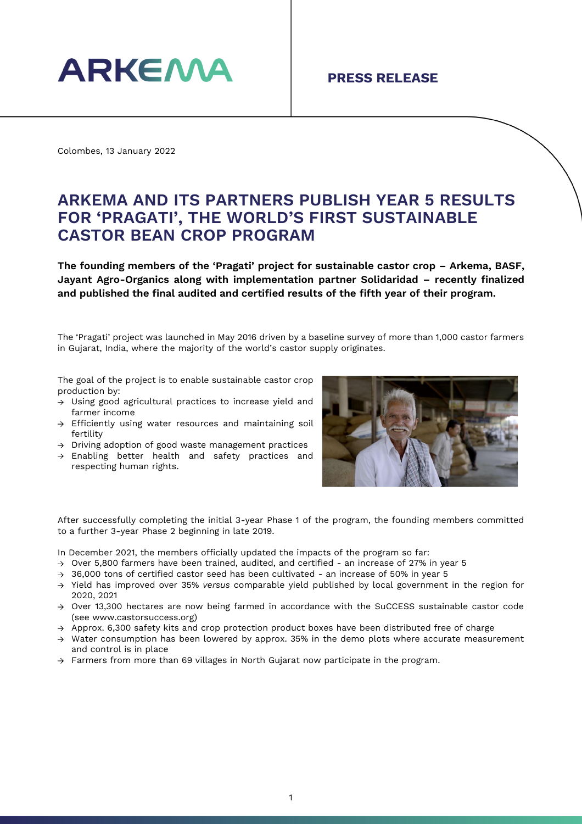

Colombes, 13 January 2022

## **ARKEMA AND ITS PARTNERS PUBLISH YEAR 5 RESULTS FOR 'PRAGATI', THE WORLD'S FIRST SUSTAINABLE CASTOR BEAN CROP PROGRAM**

**The founding members of the 'Pragati' project for sustainable castor crop – Arkema, BASF, Jayant Agro-Organics along with implementation partner Solidaridad – recently finalized and published the final audited and certified results of the fifth year of their program.**

The 'Pragati' project was launched in May 2016 driven by a baseline survey of more than 1,000 castor farmers in Gujarat, India, where the majority of the world's castor supply originates.

The goal of the project is to enable sustainable castor crop production by:

- Using good agricultural practices to increase yield and farmer income
- $\rightarrow$  Efficiently using water resources and maintaining soil fertility
- $\rightarrow$  Driving adoption of good waste management practices
- $\rightarrow$  Enabling better health and safety practices and respecting human rights.



After successfully completing the initial 3-year Phase 1 of the program, the founding members committed to a further 3-year Phase 2 beginning in late 2019.

In December 2021, the members officially updated the impacts of the program so far:

- $\rightarrow$  Over 5,800 farmers have been trained, audited, and certified an increase of 27% in year 5
- $\rightarrow$  36,000 tons of certified castor seed has been cultivated an increase of 50% in year 5
- Yield has improved over 35% *versus* comparable yield published by local government in the region for 2020, 2021
- $\rightarrow$  Over 13,300 hectares are now being farmed in accordance with the SuCCESS sustainable castor code (see [www.castorsuccess.org\)](http://www.castorsuccess.org/)
- $\rightarrow$  Approx. 6,300 safety kits and crop protection product boxes have been distributed free of charge
- $\rightarrow$  Water consumption has been lowered by approx. 35% in the demo plots where accurate measurement and control is in place
- $\rightarrow$  Farmers from more than 69 villages in North Gujarat now participate in the program.